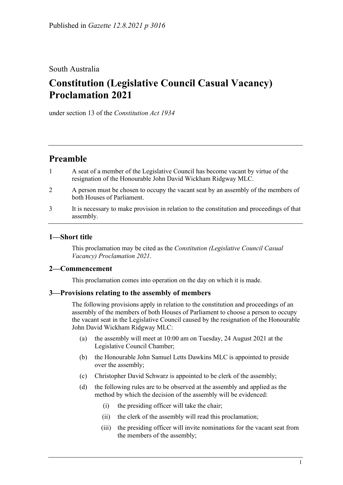# South Australia

# **Constitution (Legislative Council Casual Vacancy) Proclamation 2021**

under section 13 of the *Constitution Act 1934*

# **Preamble**

- 1 A seat of a member of the Legislative Council has become vacant by virtue of the resignation of the Honourable John David Wickham Ridgway MLC.
- 2 A person must be chosen to occupy the vacant seat by an assembly of the members of both Houses of Parliament.
- 3 It is necessary to make provision in relation to the constitution and proceedings of that assembly.

## **1—Short title**

This proclamation may be cited as the *Constitution (Legislative Council Casual Vacancy) Proclamation 2021*.

### **2—Commencement**

This proclamation comes into operation on the day on which it is made.

### **3—Provisions relating to the assembly of members**

The following provisions apply in relation to the constitution and proceedings of an assembly of the members of both Houses of Parliament to choose a person to occupy the vacant seat in the Legislative Council caused by the resignation of the Honourable John David Wickham Ridgway MLC:

- (a) the assembly will meet at 10:00 am on Tuesday, 24 August 2021 at the Legislative Council Chamber;
- (b) the Honourable John Samuel Letts Dawkins MLC is appointed to preside over the assembly;
- (c) Christopher David Schwarz is appointed to be clerk of the assembly;
- (d) the following rules are to be observed at the assembly and applied as the method by which the decision of the assembly will be evidenced:
	- (i) the presiding officer will take the chair;
	- (ii) the clerk of the assembly will read this proclamation;
	- (iii) the presiding officer will invite nominations for the vacant seat from the members of the assembly;